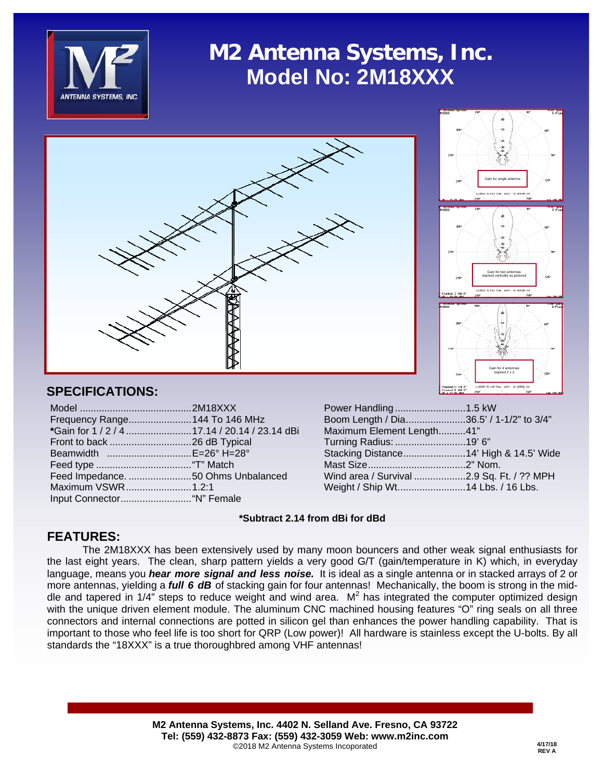

# **M2 Antenna Systems, Inc. Model No: 2M18XXX**





## **SPECIFICATIONS:**

| Frequency Range 144 To 146 MHz                |  |
|-----------------------------------------------|--|
| *Gain for 1 / 2 / 4 17.14 / 20.14 / 23.14 dBi |  |
|                                               |  |
| Beamwidth E=26° H=28°                         |  |
|                                               |  |
| Feed Impedance. 50 Ohms Unbalanced            |  |
| Maximum VSWR1.2:1                             |  |
|                                               |  |

| Power Handling1.5 kW                      |  |
|-------------------------------------------|--|
| Boom Length / Dia36.5' / 1-1/2" to 3/4"   |  |
| Maximum Element Length41"                 |  |
| Turning Radius: 19' 6"                    |  |
| Stacking Distance14' High & 14.5' Wide    |  |
|                                           |  |
| Wind area / Survival 2.9 Sq. Ft. / ?? MPH |  |
| Weight / Ship Wt14 Lbs. / 16 Lbs.         |  |
|                                           |  |

### **\*Subtract 2.14 from dBi for dBd**

## **FEATURES:**

 The 2M18XXX has been extensively used by many moon bouncers and other weak signal enthusiasts for the last eight years. The clean, sharp pattern yields a very good G/T (gain/temperature in K) which, in everyday language, means you *hear more signal and less noise.* It is ideal as a single antenna or in stacked arrays of 2 or more antennas, yielding a *full 6 dB* of stacking gain for four antennas! Mechanically, the boom is strong in the middle and tapered in  $1/4$ " steps to reduce weight and wind area.  $M<sup>2</sup>$  has integrated the computer optimized design with the unique driven element module. The aluminum CNC machined housing features "O" ring seals on all three connectors and internal connections are potted in silicon gel than enhances the power handling capability. That is important to those who feel life is too short for QRP (Low power)! All hardware is stainless except the U-bolts. By all standards the "18XXX" is a true thoroughbred among VHF antennas!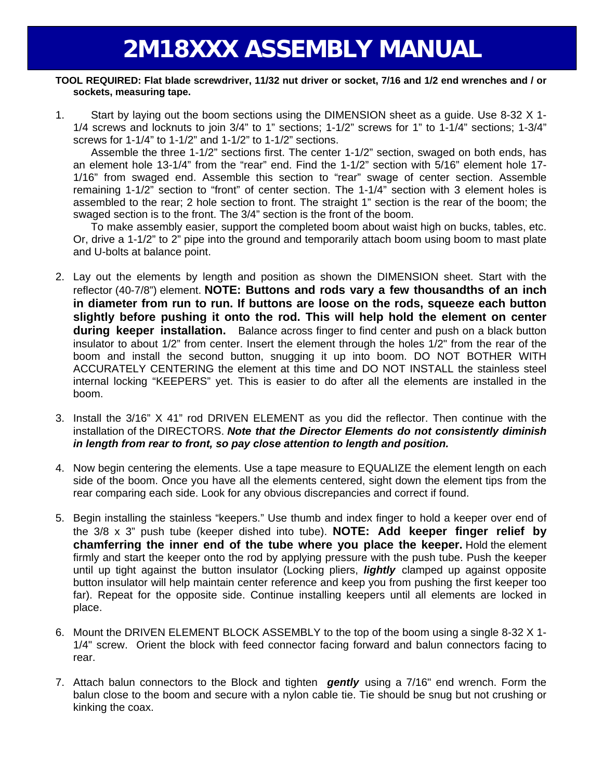#### **TOOL REQUIRED: Flat blade screwdriver, 11/32 nut driver or socket, 7/16 and 1/2 end wrenches and / or sockets, measuring tape.**

1. Start by laying out the boom sections using the DIMENSION sheet as a guide. Use 8-32 X 1- 1/4 screws and locknuts to join 3/4" to 1" sections; 1-1/2" screws for 1" to 1-1/4" sections; 1-3/4" screws for 1-1/4" to 1-1/2" and 1-1/2" to 1-1/2" sections.

 Assemble the three 1-1/2" sections first. The center 1-1/2" section, swaged on both ends, has an element hole 13-1/4" from the "rear" end. Find the 1-1/2" section with 5/16" element hole 17- 1/16" from swaged end. Assemble this section to "rear" swage of center section. Assemble remaining 1-1/2" section to "front" of center section. The 1-1/4" section with 3 element holes is assembled to the rear; 2 hole section to front. The straight 1" section is the rear of the boom; the swaged section is to the front. The 3/4" section is the front of the boom.

 To make assembly easier, support the completed boom about waist high on bucks, tables, etc. Or, drive a 1-1/2" to 2" pipe into the ground and temporarily attach boom using boom to mast plate and U-bolts at balance point.

- 2. Lay out the elements by length and position as shown the DIMENSION sheet. Start with the reflector (40-7/8") element. **NOTE: Buttons and rods vary a few thousandths of an inch in diameter from run to run. If buttons are loose on the rods, squeeze each button slightly before pushing it onto the rod. This will help hold the element on center during keeper installation.** Balance across finger to find center and push on a black button insulator to about 1/2" from center. Insert the element through the holes 1/2" from the rear of the boom and install the second button, snugging it up into boom. DO NOT BOTHER WITH ACCURATELY CENTERING the element at this time and DO NOT INSTALL the stainless steel internal locking "KEEPERS" yet. This is easier to do after all the elements are installed in the boom.
- 3. Install the 3/16" X 41" rod DRIVEN ELEMENT as you did the reflector. Then continue with the installation of the DIRECTORS. *Note that the Director Elements do not consistently diminish in length from rear to front, so pay close attention to length and position.*
- 4. Now begin centering the elements. Use a tape measure to EQUALIZE the element length on each side of the boom. Once you have all the elements centered, sight down the element tips from the rear comparing each side. Look for any obvious discrepancies and correct if found.
- 5. Begin installing the stainless "keepers." Use thumb and index finger to hold a keeper over end of the 3/8 x 3" push tube (keeper dished into tube). **NOTE: Add keeper finger relief by chamferring the inner end of the tube where you place the keeper.** Hold the element firmly and start the keeper onto the rod by applying pressure with the push tube. Push the keeper until up tight against the button insulator (Locking pliers, *lightly* clamped up against opposite button insulator will help maintain center reference and keep you from pushing the first keeper too far). Repeat for the opposite side. Continue installing keepers until all elements are locked in place.
- 6. Mount the DRIVEN ELEMENT BLOCK ASSEMBLY to the top of the boom using a single 8-32 X 1- 1/4" screw. Orient the block with feed connector facing forward and balun connectors facing to rear.
- 7. Attach balun connectors to the Block and tighten *gently* using a 7/16" end wrench. Form the balun close to the boom and secure with a nylon cable tie. Tie should be snug but not crushing or kinking the coax.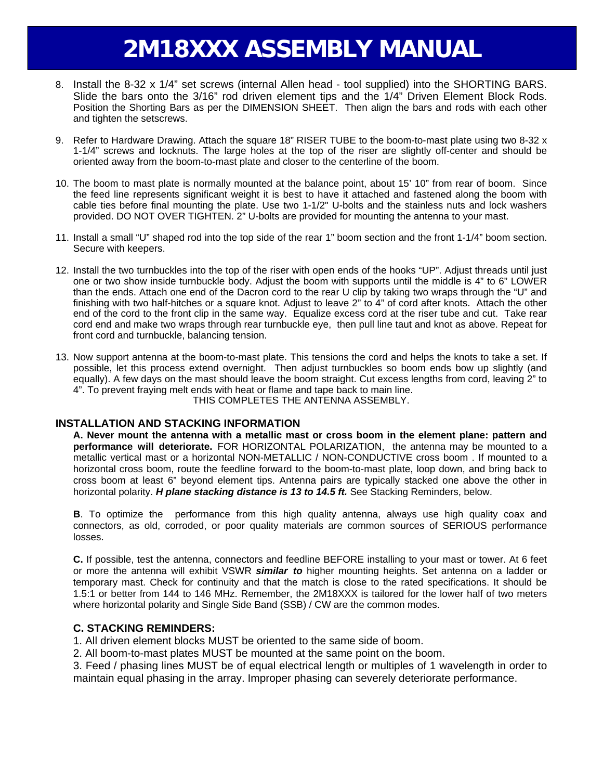# **2M18XXX ASSEMBLY MANUAL**

- 8. Install the 8-32 x 1/4" set screws (internal Allen head tool supplied) into the SHORTING BARS. Slide the bars onto the 3/16" rod driven element tips and the 1/4" Driven Element Block Rods. Position the Shorting Bars as per the DIMENSION SHEET. Then align the bars and rods with each other and tighten the setscrews.
- 9. Refer to Hardware Drawing. Attach the square 18" RISER TUBE to the boom-to-mast plate using two 8-32 x 1-1/4" screws and locknuts. The large holes at the top of the riser are slightly off-center and should be oriented away from the boom-to-mast plate and closer to the centerline of the boom.
- 10. The boom to mast plate is normally mounted at the balance point, about 15' 10" from rear of boom. Since the feed line represents significant weight it is best to have it attached and fastened along the boom with cable ties before final mounting the plate. Use two 1-1/2" U-bolts and the stainless nuts and lock washers provided. DO NOT OVER TIGHTEN. 2" U-bolts are provided for mounting the antenna to your mast.
- 11. Install a small "U" shaped rod into the top side of the rear 1" boom section and the front 1-1/4" boom section. Secure with keepers.
- 12. Install the two turnbuckles into the top of the riser with open ends of the hooks "UP". Adjust threads until just one or two show inside turnbuckle body. Adjust the boom with supports until the middle is 4" to 6" LOWER than the ends. Attach one end of the Dacron cord to the rear U clip by taking two wraps through the "U" and finishing with two half-hitches or a square knot. Adjust to leave 2" to 4" of cord after knots. Attach the other end of the cord to the front clip in the same way. Equalize excess cord at the riser tube and cut. Take rear cord end and make two wraps through rear turnbuckle eye, then pull line taut and knot as above. Repeat for front cord and turnbuckle, balancing tension.
- 13. Now support antenna at the boom-to-mast plate. This tensions the cord and helps the knots to take a set. If possible, let this process extend overnight. Then adjust turnbuckles so boom ends bow up slightly (and equally). A few days on the mast should leave the boom straight. Cut excess lengths from cord, leaving 2" to 4". To prevent fraying melt ends with heat or flame and tape back to main line. THIS COMPLETES THE ANTENNA ASSEMBLY.

#### **INSTALLATION AND STACKING INFORMATION**

**A. Never mount the antenna with a metallic mast or cross boom in the element plane: pattern and performance will deteriorate.** FOR HORIZONTAL POLARIZATION, the antenna may be mounted to a metallic vertical mast or a horizontal NON-METALLIC / NON-CONDUCTIVE cross boom . If mounted to a horizontal cross boom, route the feedline forward to the boom-to-mast plate, loop down, and bring back to cross boom at least 6" beyond element tips. Antenna pairs are typically stacked one above the other in horizontal polarity. *H plane stacking distance is 13 to 14.5 ft.* See Stacking Reminders, below.

**B**. To optimize the performance from this high quality antenna, always use high quality coax and connectors, as old, corroded, or poor quality materials are common sources of SERIOUS performance losses.

**C.** If possible, test the antenna, connectors and feedline BEFORE installing to your mast or tower. At 6 feet or more the antenna will exhibit VSWR *similar to* higher mounting heights. Set antenna on a ladder or temporary mast. Check for continuity and that the match is close to the rated specifications. It should be 1.5:1 or better from 144 to 146 MHz. Remember, the 2M18XXX is tailored for the lower half of two meters where horizontal polarity and Single Side Band (SSB) / CW are the common modes.

#### **C. STACKING REMINDERS:**

1. All driven element blocks MUST be oriented to the same side of boom.

2. All boom-to-mast plates MUST be mounted at the same point on the boom.

 3. Feed / phasing lines MUST be of equal electrical length or multiples of 1 wavelength in order to maintain equal phasing in the array. Improper phasing can severely deteriorate performance.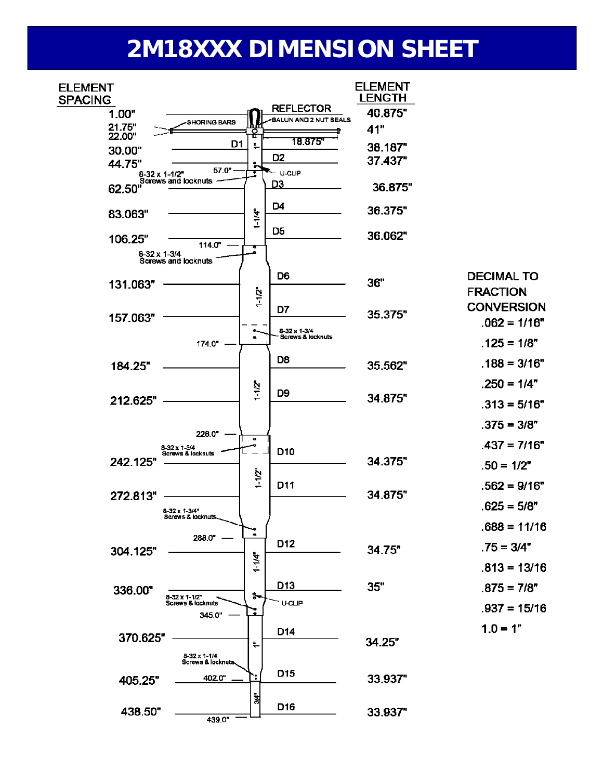# **2M18XXX DIMENSION SHEET**

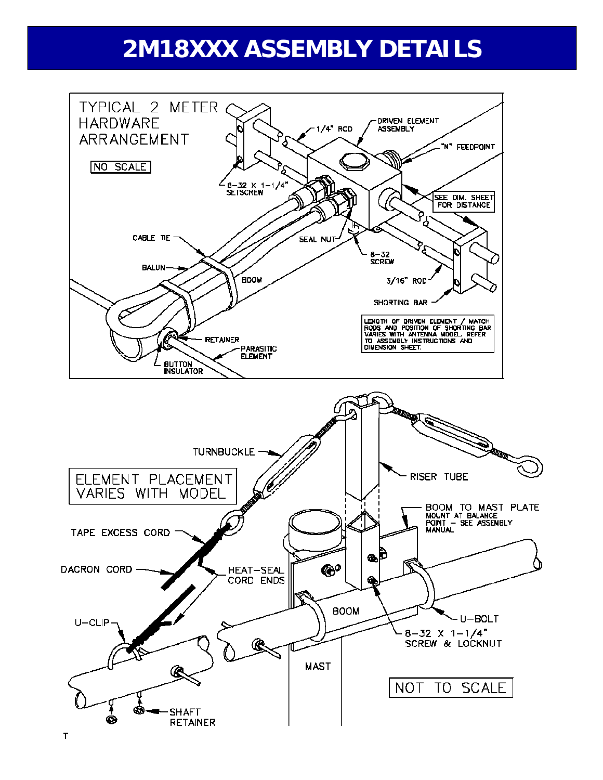# **2M18XXX ASSEMBLY DETAILS**